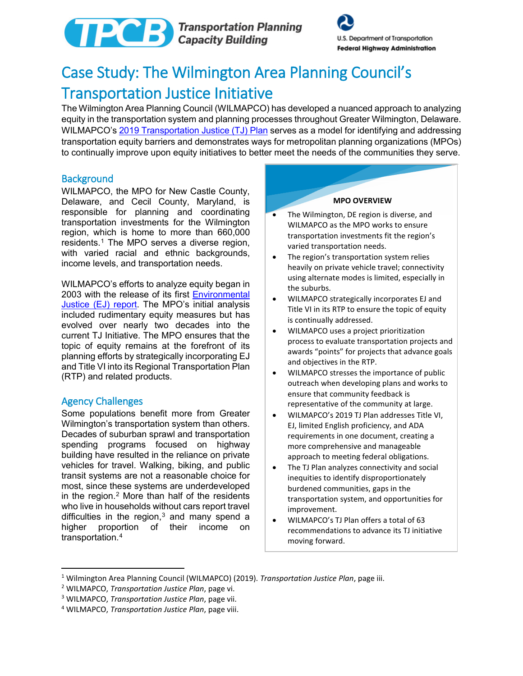



# Case Study: The Wilmington Area Planning Council's Transportation Justice Initiative

The Wilmington Area Planning Council (WILMAPCO) has developed a nuanced approach to analyzing equity in the transportation system and planning processes throughout Greater Wilmington, Delaware. WILMAPCO's [2019 Transportation Justice \(TJ\) Plan](http://www.wilmapco.org/EJ/WILMAPCO_2019_TJ_Plan.pdf) serves as a model for identifying and addressing transportation equity barriers and demonstrates ways for metropolitan planning organizations (MPOs) to continually improve upon equity initiatives to better meet the needs of the communities they serve.

# **Background**

WILMAPCO, the MPO for New Castle County, Delaware, and Cecil County, Maryland, is responsible for planning and coordinating transportation investments for the Wilmington region, which is home to more than 660,000 residents.[1](#page-0-0) The MPO serves a diverse region, with varied racial and ethnic backgrounds, income levels, and transportation needs.

WILMAPCO's efforts to analyze equity began in 2003 with the release of its first [Environmental](http://www.wilmapco.org/tj)  [Justice \(EJ\) report.](http://www.wilmapco.org/tj) The MPO's initial analysis included rudimentary equity measures but has evolved over nearly two decades into the current TJ Initiative. The MPO ensures that the topic of equity remains at the forefront of its planning efforts by strategically incorporating EJ and Title VI into its Regional Transportation Plan (RTP) and related products.

# Agency Challenges

 $\overline{\phantom{a}}$ 

Some populations benefit more from Greater Wilmington's transportation system than others. Decades of suburban sprawl and transportation spending programs focused on highway building have resulted in the reliance on private vehicles for travel. Walking, biking, and public transit systems are not a reasonable choice for most, since these systems are underdeveloped in the region. $2$  More than half of the residents who live in households without cars report travel difficulties in the region, $3$  and many spend a higher proportion of their income on transportation.[4](#page-0-3) 

#### **MPO OVERVIEW**

- The Wilmington, DE region is diverse, and WILMAPCO as the MPO works to ensure transportation investments fit the region's varied transportation needs.
- The region's transportation system relies heavily on private vehicle travel; connectivity using alternate modes is limited, especially in the suburbs.
- WILMAPCO strategically incorporates EJ and Title VI in its RTP to ensure the topic of equity is continually addressed.
- WILMAPCO uses a project prioritization process to evaluate transportation projects and awards "points" for projects that advance goals and objectives in the RTP.
- WILMAPCO stresses the importance of public outreach when developing plans and works to ensure that community feedback is representative of the community at large.
- WILMAPCO's 2019 TJ Plan addresses Title VI, EJ, limited English proficiency, and ADA requirements in one document, creating a more comprehensive and manageable approach to meeting federal obligations.
- The TJ Plan analyzes connectivity and social inequities to identify disproportionately burdened communities, gaps in the transportation system, and opportunities for improvement.
- WILMAPCO's TJ Plan offers a total of 63 recommendations to advance its TJ initiative moving forward.

<span id="page-0-0"></span><sup>&</sup>lt;sup>1</sup> Wilmington Area Planning Council (WILMAPCO) (2019). Transportation Justice Plan, page iii.<br><sup>2</sup> WILMAPCO, Transportation Justice Plan, page vi.<br><sup>3</sup> WILMAPCO, Transportation Justice Plan, page vii.<br><sup>4</sup> WILMAPCO, Transpor

<span id="page-0-1"></span>

<span id="page-0-2"></span>

<span id="page-0-3"></span>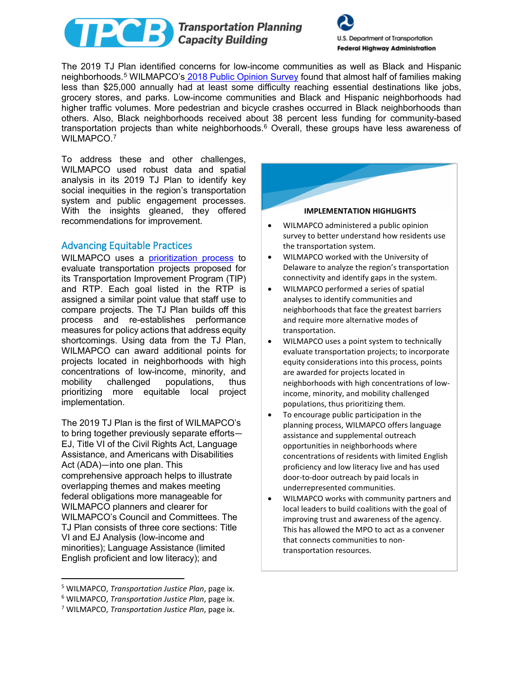



The 2019 TJ Plan identified concerns for low-income communities as well as Black and Hispanic neighborhoods.[5](#page-1-0) WILMAPCO's [2018 Public Opinion Survey](http://www.wilmapco.org/2018POS.pdf) found that almost half of families making less than \$25,000 annually had at least some difficulty reaching essential destinations like jobs, grocery stores, and parks. Low-income communities and Black and Hispanic neighborhoods had higher traffic volumes. More pedestrian and bicycle crashes occurred in Black neighborhoods than others. Also, Black neighborhoods received about 38 percent less funding for community-based transportation projects than white neighborhoods.[6](#page-1-1) Overall, these groups have less awareness of WILMAPCO.[7](#page-1-2)

To address these and other challenges, WILMAPCO used robust data and spatial analysis in its 2019 TJ Plan to identify key social inequities in the region's transportation system and public engagement processes. With the insights gleaned, they offered recommendations for improvement.

# Advancing Equitable Practices

WILMAPCO uses a [prioritization process](http://www.wilmapco.org/Priority/priority.pdf) to evaluate transportation projects proposed for its Transportation Improvement Program (TIP) and RTP. Each goal listed in the RTP is assigned a similar point value that staff use to compare projects. The TJ Plan builds off this process and re-establishes performance measures for policy actions that address equity shortcomings. Using data from the TJ Plan, WILMAPCO can award additional points for projects located in neighborhoods with high concentrations of low-income, minority, and mobility challenged populations, thus prioritizing more equitable local project implementation.

The 2019 TJ Plan is the first of WILMAPCO's to bring together previously separate efforts— EJ, Title VI of the Civil Rights Act, Language Assistance, and Americans with Disabilities Act (ADA)—into one plan. This comprehensive approach helps to illustrate overlapping themes and makes meeting federal obligations more manageable for WILMAPCO planners and clearer for WILMAPCO's Council and Committees. The TJ Plan consists of three core sections: Title VI and EJ Analysis (low-income and minorities); Language Assistance (limited English proficient and low literacy); and

l



- the transportation system. • WILMAPCO worked with the University of Delaware to analyze the region's transportation
- connectivity and identify gaps in the system. • WILMAPCO performed a series of spatial analyses to identify communities and neighborhoods that face the greatest barriers and require more alternative modes of transportation.
- WILMAPCO uses a point system to technically evaluate transportation projects; to incorporate equity considerations into this process, points are awarded for projects located in neighborhoods with high concentrations of lowincome, minority, and mobility challenged populations, thus prioritizing them.
- To encourage public participation in the planning process, WILMAPCO offers language assistance and supplemental outreach opportunities in neighborhoods where concentrations of residents with limited English proficiency and low literacy live and has used door-to-door outreach by paid locals in underrepresented communities.
- WILMAPCO works with community partners and local leaders to build coalitions with the goal of improving trust and awareness of the agency. This has allowed the MPO to act as a convener that connects communities to nontransportation resources.

<span id="page-1-0"></span><sup>5</sup> WILMAPCO, *Transportation Justice Plan*, page ix.

<span id="page-1-1"></span><sup>6</sup> WILMAPCO, *Transportation Justice Plan*, page ix. 7 WILMAPCO, *Transportation Justice Plan*, page ix.

<span id="page-1-2"></span>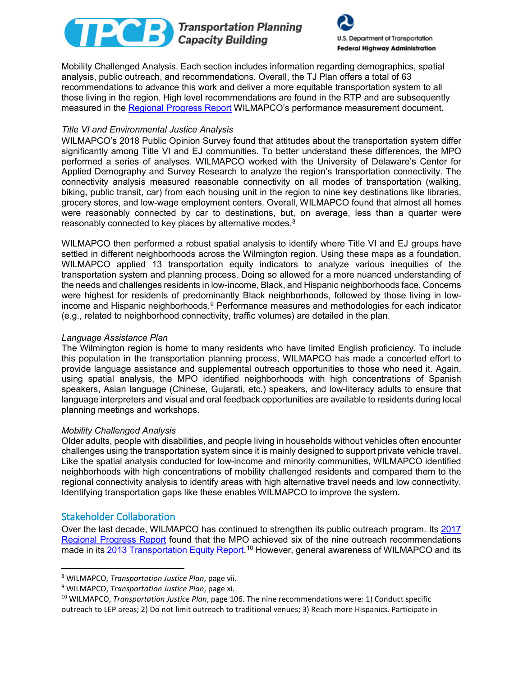# Transportation Planning<br>Capacity Building



Mobility Challenged Analysis. Each section includes information regarding demographics, spatial analysis, public outreach, and recommendations. Overall, the TJ Plan offers a total of 63 recommendations to advance this work and deliver a more equitable transportation system to all those living in the region. High level recommendations are found in the RTP and are subsequently measured in the [Regional Progress Report](http://www.wilmapco.org/regional-progress-report/) WILMAPCO's performance measurement document.

# *Title VI and Environmental Justice Analysis*

WILMAPCO's 2018 Public Opinion Survey found that attitudes about the transportation system differ significantly among Title VI and EJ communities. To better understand these differences, the MPO performed a series of analyses. WILMAPCO worked with the University of Delaware's Center for Applied Demography and Survey Research to analyze the region's transportation connectivity. The connectivity analysis measured reasonable connectivity on all modes of transportation (walking, biking, public transit, car) from each housing unit in the region to nine key destinations like libraries, grocery stores, and low-wage employment centers. Overall, WILMAPCO found that almost all homes were reasonably connected by car to destinations, but, on average, less than a quarter were reasonably connected to key places by alternative modes. [8](#page-2-0)

WILMAPCO then performed a robust spatial analysis to identify where Title VI and EJ groups have settled in different neighborhoods across the Wilmington region. Using these maps as a foundation, WILMAPCO applied 13 transportation equity indicators to analyze various inequities of the transportation system and planning process. Doing so allowed for a more nuanced understanding of the needs and challenges residents in low-income, Black, and Hispanic neighborhoods face. Concerns were highest for residents of predominantly Black neighborhoods, followed by those living in lowincome and Hispanic neighborhoods.<sup>9</sup> Performance measures and methodologies for each indicator (e.g., related to neighborhood connectivity, traffic volumes) are detailed in the plan.

#### *Language Assistance Plan*

The Wilmington region is home to many residents who have limited English proficiency. To include this population in the transportation planning process, WILMAPCO has made a concerted effort to provide language assistance and supplemental outreach opportunities to those who need it. Again, using spatial analysis, the MPO identified neighborhoods with high concentrations of Spanish speakers, Asian language (Chinese, Gujarati, etc.) speakers, and low-literacy adults to ensure that language interpreters and visual and oral feedback opportunities are available to residents during local planning meetings and workshops.

#### *Mobility Challenged Analysis*

Older adults, people with disabilities, and people living in households without vehicles often encounter challenges using the transportation system since it is mainly designed to support private vehicle travel. Like the spatial analysis conducted for low-income and minority communities, WILMAPCO identified neighborhoods with high concentrations of mobility challenged residents and compared them to the regional connectivity analysis to identify areas with high alternative travel needs and low connectivity. Identifying transportation gaps like these enables WILMAPCO to improve the system.

# Stakeholder Collaboration

 $\overline{\phantom{a}}$ 

Over the last decade, WILMAPCO has continued to strengthen its public outreach program. Its [2017](http://www.wilmapco.org/Progress_Report/2017_Regional_Progress_Report.pdf)  [Regional Progress Report](http://www.wilmapco.org/Progress_Report/2017_Regional_Progress_Report.pdf) found that the MPO achieved six of the nine outreach recommendations made in its [2013 Transportation Equity](http://www.wilmapco.org/EJ/2013_EJ_T6_Report.pdf) Report.<sup>[10](#page-2-2)</sup> However, general awareness of WILMAPCO and its

<span id="page-2-2"></span><span id="page-2-1"></span>

<span id="page-2-0"></span><sup>&</sup>lt;sup>8</sup> WILMAPCO, *Transportation Justice Plan*, page vii.<br><sup>9</sup> WILMAPCO, *Transportation Justice Plan*, page xi.<br><sup>10</sup> WILMAPCO, *Transportation Justice Plan*, page 106. The nine recommendations were: 1) Conduct specific outreach to LEP areas; 2) Do not limit outreach to traditional venues; 3) Reach more Hispanics. Participate in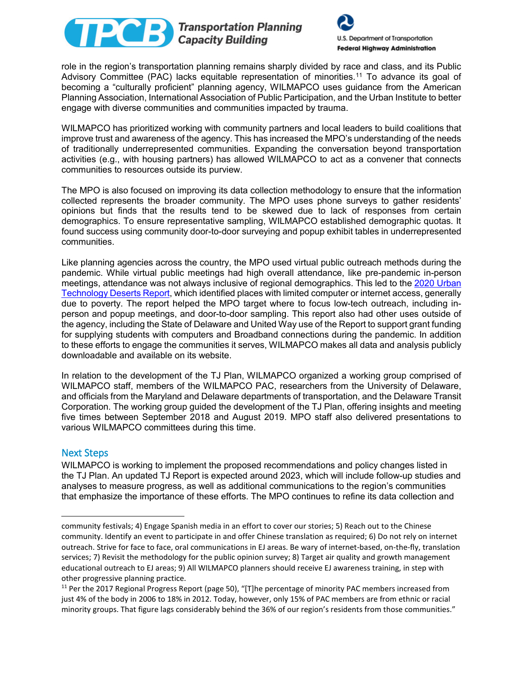



role in the region's transportation planning remains sharply divided by race and class, and its Public Advisory Committee (PAC) lacks equitable representation of minorities.[11](#page-3-0) To advance its goal of becoming a "culturally proficient" planning agency, WILMAPCO uses guidance from the American Planning Association, International Association of Public Participation, and the Urban Institute to better engage with diverse communities and communities impacted by trauma.

WILMAPCO has prioritized working with community partners and local leaders to build coalitions that improve trust and awareness of the agency. This has increased the MPO's understanding of the needs of traditionally underrepresented communities. Expanding the conversation beyond transportation activities (e.g., with housing partners) has allowed WILMAPCO to act as a convener that connects communities to resources outside its purview.

The MPO is also focused on improving its data collection methodology to ensure that the information collected represents the broader community. The MPO uses phone surveys to gather residents' opinions but finds that the results tend to be skewed due to lack of responses from certain demographics. To ensure representative sampling, WILMAPCO established demographic quotas. It found success using community door-to-door surveying and popup exhibit tables in underrepresented communities.

Like planning agencies across the country, the MPO used virtual public outreach methods during the pandemic. While virtual public meetings had high overall attendance, like pre-pandemic in-person meetings, attendance was not always inclusive of regional demographics. This led to the [2020 Urban](http://www.wilmapco.org/data/Tech_Desert_Report_Dec_20.pdf)  [Technology Deserts Report,](http://www.wilmapco.org/data/Tech_Desert_Report_Dec_20.pdf) which identified places with limited computer or internet access, generally due to poverty. The report helped the MPO target where to focus low-tech outreach, including inperson and popup meetings, and door-to-door sampling. This report also had other uses outside of the agency, including the State of Delaware and United Way use of the Report to support grant funding for supplying students with computers and Broadband connections during the pandemic. In addition to these efforts to engage the communities it serves, WILMAPCO makes all data and analysis publicly downloadable and available on its website.

In relation to the development of the TJ Plan, WILMAPCO organized a working group comprised of WILMAPCO staff, members of the WILMAPCO PAC, researchers from the University of Delaware, and officials from the Maryland and Delaware departments of transportation, and the Delaware Transit Corporation. The working group guided the development of the TJ Plan, offering insights and meeting five times between September 2018 and August 2019. MPO staff also delivered presentations to various WILMAPCO committees during this time.

# Next Steps

 $\overline{\phantom{a}}$ 

WILMAPCO is working to implement the proposed recommendations and policy changes listed in the TJ Plan. An updated TJ Report is expected around 2023, which will include follow-up studies and analyses to measure progress, as well as additional communications to the region's communities that emphasize the importance of these efforts. The MPO continues to refine its data collection and

community festivals; 4) Engage Spanish media in an effort to cover our stories; 5) Reach out to the Chinese community. Identify an event to participate in and offer Chinese translation as required; 6) Do not rely on internet outreach. Strive for face to face, oral communications in EJ areas. Be wary of internet-based, on-the-fly, translation services; 7) Revisit the methodology for the public opinion survey; 8) Target air quality and growth management educational outreach to EJ areas; 9) All WILMAPCO planners should receive EJ awareness training, in step with

<span id="page-3-0"></span>other progressive planning practice.<br><sup>11</sup> Per the 2017 Regional Progress Report (page 50), "[T]he percentage of minority PAC members increased from just 4% of the body in 2006 to 18% in 2012. Today, however, only 15% of PAC members are from ethnic or racial minority groups. That figure lags considerably behind the 36% of our region's residents from those communities."